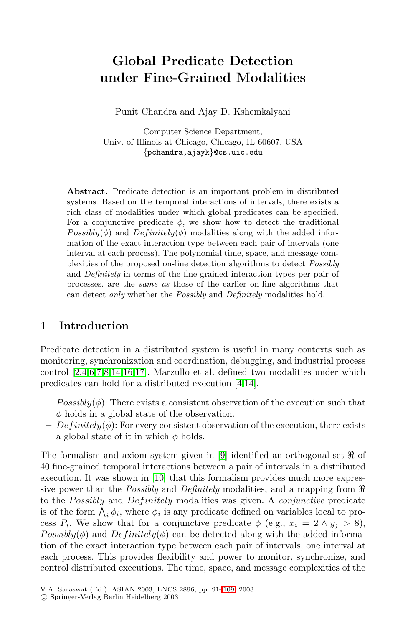# **Global Predicate Detection under Fine-Grained Modalities**

Punit Chandra and Ajay D. Kshemkalyani

Computer Science Department, Univ. of Illinois at Chicago, Chicago, IL 60607, USA {pchandra,ajayk}@cs.uic.edu

**Abstract.** Predicate detection is an important problem in distributed systems. Based on the temporal interactions of intervals, there exists a rich class of modalities under which global predicates can be specified. For a conjunctive predicate  $\phi$ , we show how to detect the traditional  $Possibly(\phi)$  and  $Definitely(\phi)$  modalities along with the added information of the exact interaction type between each pair of intervals (one interval at each process). The polynomial time, space, and message complexities of the proposed on-line detection algorithms to detect Possibly and Definitely in terms of the fine-grained interaction types per pair of processes, are the same as those of the earlier on-line algorithms that can detect only whether the Possibly and Definitely modalities hold.

# **1 Introduction**

Predicate detection in a distributed system is useful in many contexts such as monitoring, synchronization and coordination, debugging, and industrial process control [\[2,4,6,7,8,](#page-17-0)[14,16,17\]](#page-18-0). Marzullo et al. defined two modalities under which predicates can hold for a distributed execution [\[4](#page-17-0)[,14\]](#page-18-0).

- $-$  Possibly( $\phi$ ): There exists a consistent observation of the execution such that  $\phi$  holds in a global state of the observation.
- $Definitely(\phi)$ : For every consistent observation of the execution, there exists a global state of it in which  $\phi$  holds.

The formalism and axiom system given in [\[9\]](#page-17-0) identified an orthogonal set  $\Re$  of 40 fine-grained temporal interactions between a pair of intervals in a distributed execution. It was shown in [\[10\]](#page-17-0) that this formalism provides much more expressive power than the *Possibly* and *Definitely* modalities, and a mapping from to the *Possibly* and *Definitely* modalities was given. A *conjunctive* predicate is of the form  $\bigwedge_i \phi_i$ , where  $\phi_i$  is any predicate defined on variables local to process  $P_i$ . We show that for a conjunctive predicate  $\phi$  (e.g.,  $x_i = 2 \land y_i > 8$ ),  $Possibly(\phi)$  and  $Definitely(\phi)$  can be detected along with the added information of the exact interaction type between each pair of intervals, one interval at each process. This provides flexibility and power to monitor, synchronize, and control distributed executions. The time, space, and message complexities of the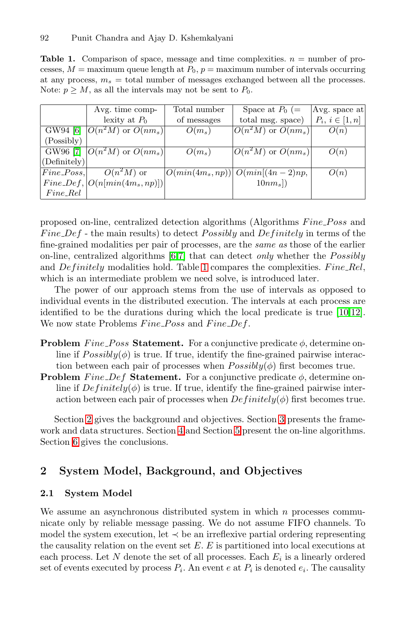<span id="page-1-0"></span>**Table 1.** Comparison of space, message and time complexities.  $n =$  number of processes,  $M =$  maximum queue length at  $P_0$ ,  $p =$  maximum number of intervals occurring at any process,  $m_s =$  total number of messages exchanged between all the processes. Note:  $p \geq M$ , as all the intervals may not be sent to  $P_0$ .

|              | Avg. time comp-                   | Total number | Space at $P_0$ (=                            | $ Avg.$ space at    |
|--------------|-----------------------------------|--------------|----------------------------------------------|---------------------|
|              | lexity at $P_0$                   | of messages  | total msg. space)                            | $P_i, i \in [1, n]$ |
|              | GW94 [6] $ O(n^2M)$ or $O(nm_s) $ | $O(m_s)$     | $\overline{O(n^2M)}$ or $\overline{O(nm_s)}$ | O(n)                |
| (Possibly)   |                                   |              |                                              |                     |
|              | GW96 [7] $ O(n^2M)$ or $O(nm_s) $ | $O(m_s)$     | $\overline{ O(n^2M)}$ or $O(nm_s) $          | O(n)                |
| (Definitely) |                                   |              |                                              |                     |
| $Fine-Poss,$ | $O(n^2M)$ or                      |              | $ O(min(4m_s, np))  O(min[(4n - 2)np,$       | O(n)                |
|              | $Fine\_Def,  O(n/min(4ms, np)) $  |              | $10nm_s$ )                                   |                     |
| $Fine_Rel$   |                                   |              |                                              |                     |

proposed on-line, centralized detection algorithms (Algorithms Fine Poss and Fine  $Def$  - the main results) to detect Possibly and Definitely in terms of the fine-grained modalities per pair of processes, are the *same as* those of the earlier on-line, centralized algorithms [\[6,7\]](#page-17-0) that can detect *only* whether the *Possibly* and Definitely modalities hold. Table 1 compares the complexities. Fine Rel, which is an intermediate problem we need solve, is introduced later.

The power of our approach stems from the use of intervals as opposed to individual events in the distributed execution. The intervals at each process are identified to be the durations during which the local predicate is true [\[10](#page-17-0)[,12\]](#page-18-0). We now state Problems  $Fine\_{Poss}$  and  $Fine\_{Def.}$ 

- **Problem** Fine Poss **Statement.** For a conjunctive predicate  $\phi$ , determine online if  $Possibly(\phi)$  is true. If true, identify the fine-grained pairwise interaction between each pair of processes when  $Possibly(\phi)$  first becomes true.
- **Problem** Fine  $Def$  **Statement.** For a conjunctive predicate  $\phi$ , determine online if  $Definitely(\phi)$  is true. If true, identify the fine-grained pairwise interaction between each pair of processes when  $Definitely(\phi)$  first becomes true.

Section 2 gives the background and objectives. Section [3](#page-5-0) presents the framework and data structures. Section [4](#page-8-0) and Section [5](#page-13-0) present the on-line algorithms. Section [6](#page-16-0) gives the conclusions.

### **2 System Model, Background, and Objectives**

#### **2.1 System Model**

We assume an asynchronous distributed system in which  $n$  processes communicate only by reliable message passing. We do not assume FIFO channels. To model the system execution, let  $\prec$  be an irreflexive partial ordering representing the causality relation on the event set  $E$ .  $E$  is partitioned into local executions at each process. Let N denote the set of all processes. Each  $E_i$  is a linearly ordered set of events executed by process  $P_i$ . An event e at  $P_i$  is denoted  $e_i$ . The causality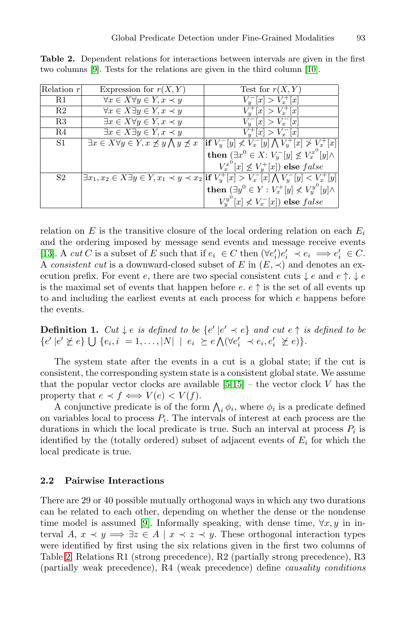| Relation $r$   | Expression for $r(X, Y)$                                                     | Test for $r(X, Y)$                                                                                                                |
|----------------|------------------------------------------------------------------------------|-----------------------------------------------------------------------------------------------------------------------------------|
| R1             | $\overline{\forall x \in X \forall y \in Y}, x \prec y$                      | $\overline{V_{y}^{-}[x] > V_{x}^{+}[x]}$                                                                                          |
| R <sub>2</sub> | $\forall x \in \overline{X \exists y \in Y, x \prec y}$                      | $V^+_u[x] > V^+_x[x]$                                                                                                             |
| R3             | $\exists x \in X \forall y \in Y, x \prec y$                                 | $V_u^{-}[x] > V_x^{-}[x]$                                                                                                         |
| R4             | $\exists x \in X \exists y \in Y, x \prec y$                                 | $\overline{V_{y}^{+}[x] > V_{x}^{-}[x]}$                                                                                          |
| S1             | $\exists x \in X \forall y \in Y, x \not\preceq y \bigwedge y \not\preceq x$ | $ \textbf{if }V_y^-[y]\nless V_x^-[y]\overline{\bigwedge V_y^+[x]\ngtr V_x^+[x]}$                                                 |
|                |                                                                              | then $(\exists x^0 \in X: V_y^{-}[y] \nleq V_x^{x^0}[y] \wedge$                                                                   |
|                |                                                                              | $V_x^{x^0}[x] \not\leq V_y^{+}[x]$ else false                                                                                     |
| S <sub>2</sub> |                                                                              | $\exists x_1, x_2 \in X \exists y \in \overline{Y, x_1 \prec y \prec x_2}$ if $V_y^+[x] > V_x^-[x] \bigwedge V_y^-[y] < V_x^+[y]$ |
|                |                                                                              | then $(\exists y^0 \in Y : V_x^+[y] \nless V_y^{y^0}[y] \wedge$                                                                   |
|                |                                                                              | $V_u^{y^0}[x] \nless V_x^{-}[x]$ else false                                                                                       |

<span id="page-2-0"></span>**Table 2.** Dependent relations for interactions between intervals are given in the first two columns [\[9\]](#page-17-0). Tests for the relations are given in the third column [\[10\]](#page-17-0).

relation on E is the transitive closure of the local ordering relation on each  $E_i$ and the ordering imposed by message send events and message receive events [\[13\]](#page-18-0). A *cut* C is a subset of E such that if  $e_i \in C$  then  $(\forall e_i')e_i' \prec e_i \implies e_i' \in C$ . A *consistent cut* is a downward-closed subset of E in  $(E, \prec)$  and denotes an execution prefix. For event e, there are two special consistent cuts  $\downarrow$  e and e  $\uparrow$ .  $\downarrow$  e is the maximal set of events that happen before e.  $e \uparrow$  is the set of all events up to and including the earliest events at each process for which e happens before the events.

**Definition 1.**  $Cut \downarrow e$  *is defined to be*  $\{e' \mid e' \prec e\}$  *and cut*  $e \uparrow$  *is defined to be*  ${e' | e' \not\succeq e} \bigcup {e_i, i = 1, \ldots, |N| | e_i \succeq e \bigwedge (\forall e'_i \prec e_i, e'_i \not\succeq e) \}.$ 

The system state after the events in a cut is a global state; if the cut is consistent, the corresponding system state is a consistent global state. We assume that the popular vector clocks are available  $[5,15]$  $[5,15]$  – the vector clock V has the property that  $e \prec f \iff V(e) \prec V(f)$ .

A conjunctive predicate is of the form  $\bigwedge_i \phi_i$ , where  $\phi_i$  is a predicate defined on variables local to process  $P_i$ . The intervals of interest at each process are the durations in which the local predicate is true. Such an interval at process  $P_i$  is identified by the (totally ordered) subset of adjacent events of  $E_i$  for which the local predicate is true.

#### **2.2 Pairwise Interactions**

There are 29 or 40 possible mutually orthogonal ways in which any two durations can be related to each other, depending on whether the dense or the nondense time model is assumed [\[9\]](#page-17-0). Informally speaking, with dense time,  $\forall x, y$  in interval A,  $x \prec y \Longrightarrow \exists z \in A \mid x \prec z \prec y$ . These orthogonal interaction types were identified by first using the six relations given in the first two columns of Table 2. Relations R1 (strong precedence), R2 (partially strong precedence), R3 (partially weak precedence), R4 (weak precedence) define *causality conditions*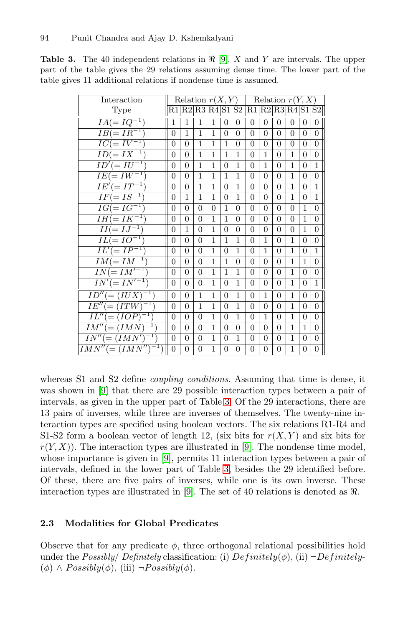| Interaction                       |                | Relation $r(X, Y)$ |                |              |                |              |                                      | Relation $r(Y, X)$ |                |              |              |                |
|-----------------------------------|----------------|--------------------|----------------|--------------|----------------|--------------|--------------------------------------|--------------------|----------------|--------------|--------------|----------------|
| Type                              |                |                    |                |              |                |              | R1 R2 R3 R4 S1 S2  R1 R2 R3 R4 S1 S2 |                    |                |              |              |                |
| $IA(=IQ^{-1})$                    | 1              | 1                  | 1              | 1            | $\Omega$       | $\Omega$     | $\Omega$                             | 0                  | 0              | $\theta$     | $\theta$     | $\overline{0}$ |
| $IB(=IR^{-1})$                    | $\theta$       | 1                  | 1              | 1            | 0              | $\theta$     | $\theta$                             | 0                  | 0              | $\Omega$     | $\theta$     | $\overline{0}$ |
| $IC (= IV^{-1})$                  | $\theta$       | $\theta$           | 1              | 1            | 1              | 0            | $\theta$                             | 0                  | 0              | $\theta$     | 0            | $\overline{0}$ |
| $ID (= IX^{-1})$                  | $\theta$       | $\theta$           | 1              | 1            | 1              | 1            | 0                                    | 1                  | 0              | 1            | $\theta$     | $\overline{0}$ |
| $ID' (= IU^{-1})$                 | $\overline{0}$ | $\theta$           | 1              | 1            | $\Omega$       | 1            | $\Omega$                             | 1                  | 0              | 1            | $\theta$     | $\overline{1}$ |
| $\overline{IE(=IW^{-1})}$         | $\overline{0}$ | $\overline{0}$     | 1              | 1            | 1              | 1            | $\theta$                             | 0                  | $\Omega$       | 1            | $\Omega$     | $\overline{0}$ |
| $IE'(=IT^{-1})$                   | $\overline{0}$ | $\theta$           | 1              | 1            | $\Omega$       | 1            | $\Omega$                             | $\Omega$           | $\Omega$       | 1            | $\theta$     | 1              |
| $IF(=IS^{-1})$                    | $\overline{0}$ | 1                  | 1              | $\mathbf{1}$ | $\Omega$       | 1            | $\Omega$                             | $\Omega$           | $\Omega$       | 1            | $\theta$     | 1              |
| $IG(=IG^{-1})$                    | $\overline{0}$ | $\overline{0}$     | $\overline{0}$ | $\theta$     | 1              | 0            | $\theta$                             | $\overline{0}$     | $\overline{0}$ | 0            | 1            | $\overline{0}$ |
| $IH (= IK^{-1})$                  | $\overline{0}$ | $\Omega$           | $\Omega$       | 1            | 1              | $\Omega$     | $\Omega$                             | $\theta$           | $\Omega$       | $\Omega$     | 1            | $\overline{0}$ |
| $II(=IJ^{-1})$                    | $\Omega$       | 1                  | $\theta$       | 1            | $\Omega$       | $\theta$     | $\Omega$                             | $\theta$           | $\Omega$       | $\theta$     | 1            | $\Omega$       |
| $IL(=IO^{-1})$                    | $\overline{0}$ | $\theta$           | $\theta$       | 1            | 1              | 1            | $\Omega$                             | 1                  | $\theta$       | $\mathbf{1}$ | $\Omega$     | $\Omega$       |
| $IL'(= IP^{-1})$                  | $\theta$       | 0                  | $\theta$       | 1            | $\Omega$       | 1            | $\theta$                             | 1                  | $\theta$       | 1            | $\Omega$     | 1              |
| $IM (= IM^{-1})$                  | $\overline{0}$ | $\overline{0}$     | $\overline{0}$ | 1            | 1              | 0            | $\theta$                             | $\Omega$           | $\Omega$       | 1            | 1            | $\overline{0}$ |
| $\overline{IN} (= IM'^{-1})$      | $\overline{0}$ | $\Omega$           | $\Omega$       | 1            | 1              | 1            | $\overline{0}$                       | $\theta$           | $\theta$       | 1            | $\theta$     | $\overline{0}$ |
| $IN' (= IN'^{-1})$                | $\theta$       | $\overline{0}$     | $\overline{0}$ | 1            | $\overline{0}$ | $\mathbf{1}$ | $\theta$                             | $\overline{0}$     | 0              | 1            | 0            | $\overline{1}$ |
| $ID''(=(IUX)^{-1})$               | $\overline{0}$ | $\theta$           | 1              | 1            | $\overline{0}$ | $\mathbf{1}$ | $\theta$                             | 1                  | $\Omega$       | 1            | $\theta$     | $\overline{0}$ |
| $IE'' (= (ITW)^{-1})$             | $\theta$       | $\overline{0}$     | 1              | 1            | $\Omega$       | 1            | $\Omega$                             | $\Omega$           | $\Omega$       | 1            | $\theta$     | $\overline{0}$ |
| $IL'' = (IOP)^{-1}$               | $\overline{0}$ | $\theta$           | $\theta$       | 1            | $\Omega$       | 1            | $\Omega$                             | 1                  | $\Omega$       | 1            | 0            | $\Omega$       |
| $IM'' = (IMN)^{-1})$              | $\theta$       | $\theta$           | $\theta$       | 1            | $\Omega$       | $\theta$     | $\Omega$                             | $\theta$           | $\Omega$       | 1            | $\mathbf{1}$ | $\Omega$       |
| $\overline{IN''} (= (IMN')^{-1})$ | $\overline{0}$ | $\theta$           | $\theta$       | 1            | $\Omega$       | 1            | $\Omega$                             | $\Omega$           | $\theta$       | 1            | $\theta$     | $\Omega$       |
| $IMN'' (=(IMN'')^{-1})$           | $\theta$       | $\theta$           | $\theta$       | 1            | $\Omega$       | $\theta$     | $\Omega$                             | $\theta$           | $\theta$       | 1            | $\Omega$     | $\Omega$       |

<span id="page-3-0"></span>**Table 3.** The 40 independent relations in  $\Re$  [\[9\]](#page-17-0). X and Y are intervals. The upper part of the table gives the 29 relations assuming dense time. The lower part of the table gives 11 additional relations if nondense time is assumed.

whereas S1 and S2 define *coupling conditions*. Assuming that time is dense, it was shown in [\[9\]](#page-17-0) that there are 29 possible interaction types between a pair of intervals, as given in the upper part of Table 3. Of the 29 interactions, there are 13 pairs of inverses, while three are inverses of themselves. The twenty-nine interaction types are specified using boolean vectors. The six relations R1-R4 and S1-S2 form a boolean vector of length 12, (six bits for  $r(X, Y)$  and six bits for  $r(Y, X)$ ). The interaction types are illustrated in [\[9\]](#page-17-0). The nondense time model, whose importance is given in [\[9\]](#page-17-0), permits 11 interaction types between a pair of intervals, defined in the lower part of Table 3, besides the 29 identified before. Of these, there are five pairs of inverses, while one is its own inverse. These interaction types are illustrated in [\[9\]](#page-17-0). The set of 40 relations is denoted as  $\Re$ .

### **2.3 Modalities for Global Predicates**

Observe that for any predicate  $\phi$ , three orthogonal relational possibilities hold under the *Possibly Definitely* classification: (i)  $Definitely(\phi)$ , (ii)  $\neg Definitely$ - $(\phi) \wedge Possibly(\phi), (iii) \neg Possibly(\phi).$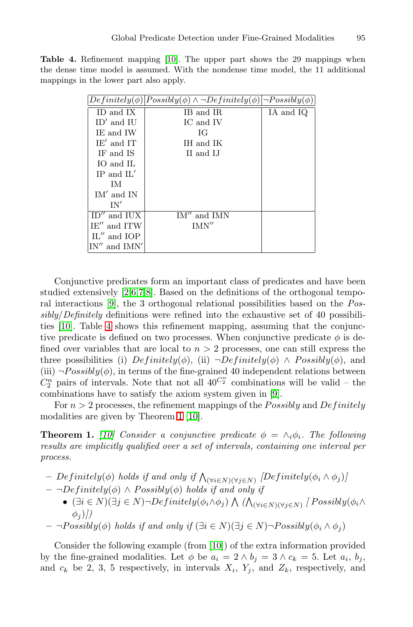<span id="page-4-0"></span>**Table 4.** Refinement mapping [\[10\]](#page-17-0). The upper part shows the 29 mappings when the dense time model is assumed. With the nondense time model, the 11 additional mappings in the lower part also apply.

|                  | $Definitely(\phi) Possibly(\phi) \wedge \neg Definitely(\phi) \neg Possibly(\phi) $ |           |
|------------------|-------------------------------------------------------------------------------------|-----------|
| ID and IX        | IB and IR                                                                           | IA and IQ |
| $ID'$ and $IU$   | IC and IV                                                                           |           |
| IE and IW        | ЮG                                                                                  |           |
| $IE'$ and $IT$   | IH and IK                                                                           |           |
| IF and IS        | II and LI                                                                           |           |
| IO and IL        |                                                                                     |           |
| $IP$ and $IL'$   |                                                                                     |           |
| TM.              |                                                                                     |           |
| $IM'$ and $IN$   |                                                                                     |           |
| IN'              |                                                                                     |           |
| $ID''$ and $IUX$ | $IM''$ and $IMN$                                                                    |           |
| $IE''$ and $ITW$ | IMN''                                                                               |           |
| $IL''$ and $IOP$ |                                                                                     |           |
| IN''<br>and IMN' |                                                                                     |           |

Conjunctive predicates form an important class of predicates and have been studied extensively [\[2,6,7,8\]](#page-17-0). Based on the definitions of the orthogonal temporal interactions [\[9\]](#page-17-0), the 3 orthogonal relational possibilities based on the *Possibly*/*Definitely* definitions were refined into the exhaustive set of 40 possibilities [\[10\]](#page-17-0). Table 4 shows this refinement mapping, assuming that the conjunctive predicate is defined on two processes. When conjunctive predicate  $\phi$  is defined over variables that are local to  $n > 2$  processes, one can still express the three possibilities (i)  $Definitely(\phi)$ , (ii)  $\neg Definitely(\phi) \wedge Possibly(\phi)$ , and (iii)  $\neg Possibly(\phi)$ , in terms of the fine-grained 40 independent relations between  $C_2^n$  pairs of intervals. Note that not all  $40^{C_2^n}$  combinations will be valid – the combinations have to satisfy the axiom system given in [\[9\]](#page-17-0).

For  $n > 2$  processes, the refinement mappings of the *Possibly* and *Definitely* modalities are given by Theorem 1 [\[10\]](#page-17-0).

**Theorem 1.** [\[10\]](#page-17-0) Consider a conjunctive predicate  $\phi = \wedge_i \phi_i$ . The following *results are implicitly qualified over a set of intervals, containing one interval per process.*

- $P = Definitely(φ)$  *holds if and only if*  $\bigwedge_{(\forall i \in N)(\forall j \in N)} [Definitely(φ_i ∧ φ_j)]$
- $-$  ¬*Definitely*( $\phi$ ) ∧ *Possibly*( $\phi$ ) *holds if and only if* 
	- $(\exists i \in N)(\exists j \in N) \neg Definitely(\phi_i \land \phi_j) \land (\bigwedge_{(\forall i \in N)(\forall j \in N)} \{Possibly(\phi_i \land \phi_j)\}$  $\phi_i$ )*]*)
- $∎Possibly(φ) holds if and only if (∃i ∈ N)(∃j ∈ N)¬Possibly(φ<sub>i</sub> ∧ φ<sub>j</sub>)$

Consider the following example (from [\[10\]](#page-17-0)) of the extra information provided by the fine-grained modalities. Let  $\phi$  be  $a_i = 2 \wedge b_j = 3 \wedge c_k = 5$ . Let  $a_i, b_j$ , and  $c_k$  be 2, 3, 5 respectively, in intervals  $X_i$ ,  $Y_j$ , and  $Z_k$ , respectively, and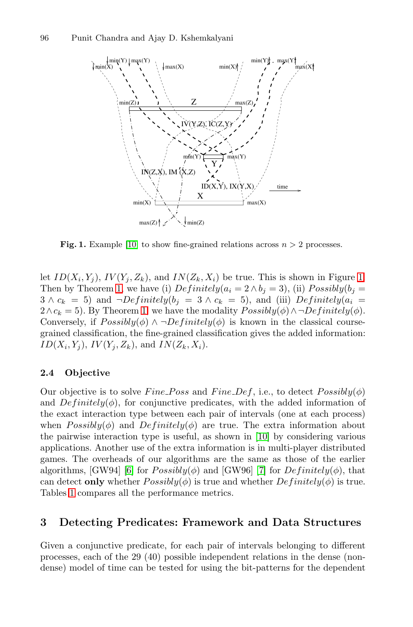<span id="page-5-0"></span>

**Fig. 1.** Example [\[10\]](#page-17-0) to show fine-grained relations across  $n > 2$  processes.

let  $ID(X_i, Y_j)$ ,  $IV(Y_j, Z_k)$ , and  $IN(Z_k, X_i)$  be true. This is shown in Figure 1. Then by Theorem [1,](#page-4-0) we have (i)  $Definitely (a_i = 2 \land b_i = 3)$ , (ii)  $Possibly (b_i = 1)$  $3 \wedge c_k = 5$ ) and  $\neg Definitely(b_j = 3 \wedge c_k = 5)$ , and (iii)  $Definitely(a_i = 1)$  $2 \wedge c_k = 5$ . By Theorem [1,](#page-4-0) we have the modality  $Possibly(\phi) \wedge \neg Definitely(\phi)$ . Conversely, if  $Possibly(\phi) \land \neg Definitely(\phi)$  is known in the classical coursegrained classification, the fine-grained classification gives the added information:  $ID(X_i, Y_j)$ ,  $IV(Y_i, Z_k)$ , and  $IN(Z_k, X_i)$ .

### **2.4 Objective**

Our objective is to solve Fine Poss and Fine Def, i.e., to detect  $Possibly(\phi)$ and  $Definitely(\phi)$ , for conjunctive predicates, with the added information of the exact interaction type between each pair of intervals (one at each process) when  $Possibly(\phi)$  and  $Definitely(\phi)$  are true. The extra information about the pairwise interaction type is useful, as shown in [\[10\]](#page-17-0) by considering various applications. Another use of the extra information is in multi-player distributed games. The overheads of our algorithms are the same as those of the earlier algorithms, [GW94] [\[6\]](#page-17-0) for  $Possibly(\phi)$  and [GW96] [\[7\]](#page-17-0) for  $Definitely(\phi)$ , that can detect **only** whether  $Possibly(\phi)$  is true and whether  $Definitely(\phi)$  is true. Tables [1](#page-1-0) compares all the performance metrics.

### **3 Detecting Predicates: Framework and Data Structures**

Given a conjunctive predicate, for each pair of intervals belonging to different processes, each of the 29 (40) possible independent relations in the dense (nondense) model of time can be tested for using the bit-patterns for the dependent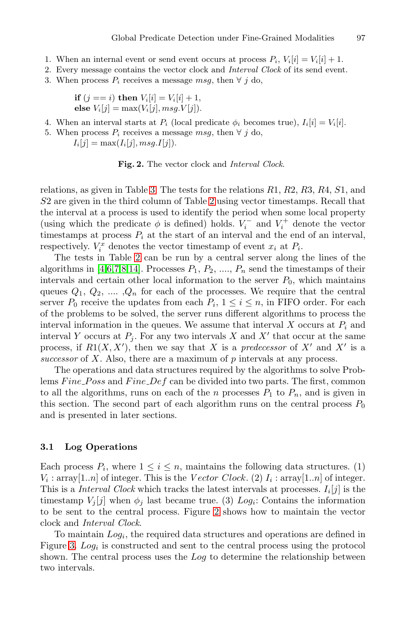- 1. When an internal event or send event occurs at process  $P_i$ ,  $V_i[i] = V_i[i] + 1$ .
- 2. Every message contains the vector clock and Interval Clock of its send event.
- 3. When process  $P_i$  receives a message msg, then  $\forall j$  do,

**if** 
$$
(j == i)
$$
 **then**  $V_i[i] = V_i[i] + 1$ ,  
else  $V_i[j] = \max(V_i[j], msg.V[j])$ .

- 4. When an interval starts at  $P_i$  (local predicate  $\phi_i$  becomes true),  $I_i[i] = V_i[i]$ .
- 5. When process  $P_i$  receives a message msq, then  $\forall$  j do,

 $I_i[j] = \max(I_i[j], msg. I[j]).$ 



relations, as given in Table [3.](#page-3-0) The tests for the relations  $R1, R2, R3, R4, S1,$  and S2 are given in the third column of Table [2](#page-2-0) using vector timestamps. Recall that the interval at a process is used to identify the period when some local property (using which the predicate  $\phi$  is defined) holds.  $V_i^-$  and  $V_i^+$  denote the vector timestamps at process  $P_i$  at the start of an interval and the end of an interval, respectively.  $V_i^x$  denotes the vector timestamp of event  $x_i$  at  $P_i$ .

The tests in Table [2](#page-2-0) can be run by a central server along the lines of the algorithms in [\[4,6,7,8](#page-17-0)[,14\]](#page-18-0). Processes  $P_1, P_2, \ldots, P_n$  send the timestamps of their intervals and certain other local information to the server  $P_0$ , which maintains queues  $Q_1, Q_2, \ldots, Q_n$  for each of the processes. We require that the central server  $P_0$  receive the updates from each  $P_i$ ,  $1 \leq i \leq n$ , in FIFO order. For each of the problems to be solved, the server runs different algorithms to process the interval information in the queues. We assume that interval X occurs at  $P_i$  and interval Y occurs at  $P_j$ . For any two intervals X and X' that occur at the same process, if  $R1(X, X')$ , then we say that X is a *predecessor* of X' and X' is a *successor* of X. Also, there are a maximum of p intervals at any process.

The operations and data structures required by the algorithms to solve Problems  $Fine\ Poss$  and  $Fine\ Def$  can be divided into two parts. The first, common to all the algorithms, runs on each of the n processes  $P_1$  to  $P_n$ , and is given in this section. The second part of each algorithm runs on the central process  $P_0$ and is presented in later sections.

#### **3.1 Log Operations**

Each process  $P_i$ , where  $1 \leq i \leq n$ , maintains the following data structures. (1)  $V_i$ : array[1..*n*] of integer. This is the *Vector Clock*. (2)  $I_i$ : array[1..*n*] of integer. This is a *Interval Clock* which tracks the latest intervals at processes.  $I_i[j]$  is the timestamp  $V_j[j]$  when  $\phi_j$  last became true. (3) Log<sub>i</sub>: Contains the information to be sent to the central process. Figure 2 shows how to maintain the vector clock and *Interval Clock*.

To maintain  $Log_i$ , the required data structures and operations are defined in Figure [3.](#page-7-0)  $Log<sub>i</sub>$  is constructed and sent to the central process using the protocol shown. The central process uses the Log to determine the relationship between two intervals.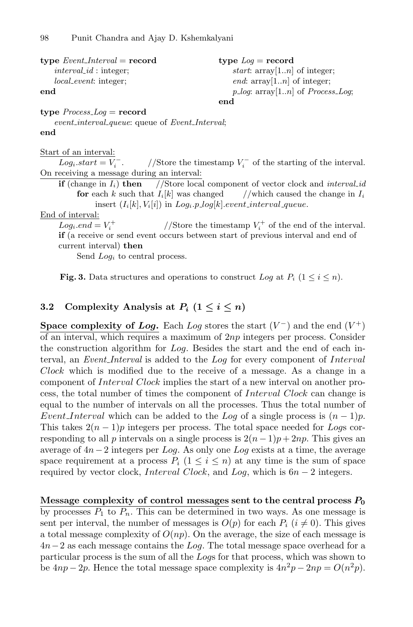<span id="page-7-0"></span>

| type $Event\_Interval = record$ | type $Log = record$                                          |
|---------------------------------|--------------------------------------------------------------|
| $interval_id$ : integer;        | <i>start</i> : $\arctan \left(1 \ldots n\right)$ of integer; |
| <i>local_event:</i> integer:    | <i>end</i> : $\arctan \left[1 \ldots n\right]$ of integer;   |
| end                             | $p\_{log:}$ array[1 <i>n</i> ] of <i>Process_Log</i> ;       |
|                                 | end                                                          |

**type** Process Log = **record**

event\_interval\_queue: queue of Event\_Interval; **end**

#### Start of an interval:

 $Log_i.start = V_i^-$ .  $\bar{i}$  . //Store the timestamp  $V_i^-$  of the starting of the interval. On receiving a message during an interval:

**if** (change in  $I_i$ ) **then** //Store local component of vector clock and *interval-id* **for** each k such that  $I_i[k]$  was changed //which caused the change in  $I_i$ insert  $(I_i[k], V_i[i])$  in  $Log_i.p\_log[k].event\_interval\_queue$ .

#### End of interval:

 $Log_i.end = V_i^+$  $i^+$  //Store the timestamp  $V_i^+$  of the end of the interval. **if** (a receive or send event occurs between start of previous interval and end of current interval) **then**

Send  $Log<sub>i</sub>$  to central process.

**Fig. 3.** Data structures and operations to construct Log at  $P_i$  ( $1 \leq i \leq n$ ).

# **3.2** Complexity Analysis at  $P_i$   $(1 \leq i \leq n)$

**Space complexity of** *Log*. Each *Log* stores the start  $(V^-)$  and the end  $(V^+)$ of an interval, which requires a maximum of  $2np$  integers per process. Consider the construction algorithm for Log. Besides the start and the end of each interval, an *Event Interval* is added to the Log for every component of Interval Clock which is modified due to the receive of a message. As a change in a component of Interval Clock implies the start of a new interval on another process, the total number of times the component of Interval Clock can change is equal to the number of intervals on all the processes. Thus the total number of Event Interval which can be added to the Log of a single process is  $(n-1)p$ . This takes  $2(n-1)p$  integers per process. The total space needed for Logs corresponding to all p intervals on a single process is  $2(n-1)p+2np$ . This gives an average of 4n−2 integers per Log. As only one Log exists at a time, the average space requirement at a process  $P_i$   $(1 \leq i \leq n)$  at any time is the sum of space required by vector clock, Interval Clock, and Log, which is  $6n - 2$  integers.

**Message complexity of control messages sent to the central process** *<sup>P</sup>***<sup>0</sup>** by processes  $P_1$  to  $P_n$ . This can be determined in two ways. As one message is sent per interval, the number of messages is  $O(p)$  for each  $P_i$  ( $i \neq 0$ ). This gives a total message complexity of  $O(np)$ . On the average, the size of each message is  $4n-2$  as each message contains the Log. The total message space overhead for a particular process is the sum of all the Logs for that process, which was shown to be  $4np - 2p$ . Hence the total message space complexity is  $4n^2p - 2np = O(n^2p)$ .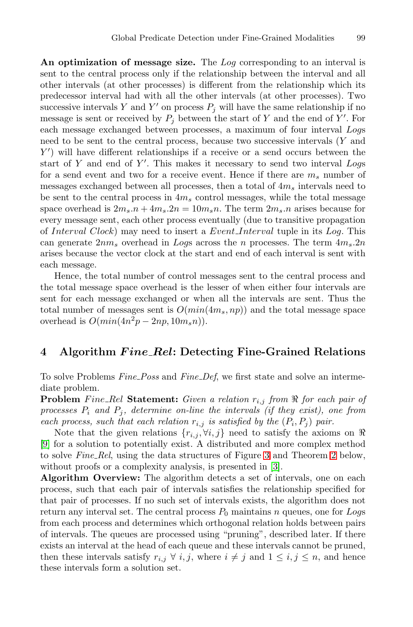<span id="page-8-0"></span>**An optimization of message size.** The Log corresponding to an interval is sent to the central process only if the relationship between the interval and all other intervals (at other processes) is different from the relationship which its predecessor interval had with all the other intervals (at other processes). Two successive intervals Y and Y' on process  $P_j$  will have the same relationship if no message is sent or received by  $P_j$  between the start of Y and the end of Y'. For each message exchanged between processes, a maximum of four interval Logs need to be sent to the central process, because two successive intervals (Y and  $Y'$ ) will have different relationships if a receive or a send occurs between the start of Y and end of Y'. This makes it necessary to send two interval Logs for a send event and two for a receive event. Hence if there are  $m_s$  number of messages exchanged between all processes, then a total of  $4m_s$  intervals need to be sent to the central process in  $4m_s$  control messages, while the total message space overhead is  $2m_s \cdot n + 4m_s \cdot 2n = 10m_s \cdot n$ . The term  $2m_s \cdot n$  arises because for every message sent, each other process eventually (due to transitive propagation of Interval Clock) may need to insert a Event Interval tuple in its Log. This can generate  $2nm_s$  overhead in Logs across the n processes. The term  $4m_s.2n$ arises because the vector clock at the start and end of each interval is sent with each message.

Hence, the total number of control messages sent to the central process and the total message space overhead is the lesser of when either four intervals are sent for each message exchanged or when all the intervals are sent. Thus the total number of messages sent is  $O(min(4m_s, np))$  and the total message space overhead is  $O(min(4n^2p - 2np, 10m_s n)).$ 

### **4 Algorithm** *F ine Rel***: Detecting Fine-Grained Relations**

To solve Problems *Fine Poss* and *Fine Def*, we first state and solve an intermediate problem.

**Problem** Fine\_Rel Statement: Given a relation  $r_{i,j}$  from  $\Re$  for each pair of *processes*  $P_i$  *and*  $P_j$ , determine on-line the intervals (if they exist), one from *each process, such that each relation*  $r_{i,j}$  *is satisfied by the*  $(P_i, P_j)$  *pair.* 

Note that the given relations  $\{r_{i,j}, \forall i, j\}$  need to satisfy the axioms on  $\Re$ [\[9\]](#page-17-0) for a solution to potentially exist. A distributed and more complex method to solve *Fine Rel*, using the data structures of Figure [3](#page-7-0) and Theorem [2](#page-10-0) below, without proofs or a complexity analysis, is presented in [\[3\]](#page-17-0).

**Algorithm Overview:** The algorithm detects a set of intervals, one on each process, such that each pair of intervals satisfies the relationship specified for that pair of processes. If no such set of intervals exists, the algorithm does not return any interval set. The central process  $P_0$  maintains n queues, one for Logs from each process and determines which orthogonal relation holds between pairs of intervals. The queues are processed using "pruning", described later. If there exists an interval at the head of each queue and these intervals cannot be pruned, then these intervals satisfy  $r_{i,j} \forall i, j$ , where  $i \neq j$  and  $1 \leq i, j \leq n$ , and hence these intervals form a solution set.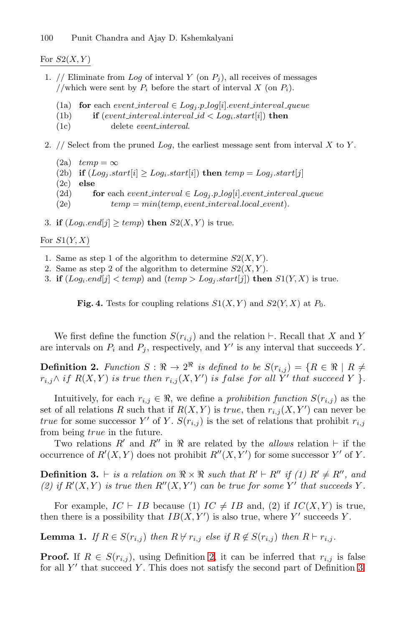### <span id="page-9-0"></span>For  $S2(X, Y)$

- 1. // Eliminate from Log of interval Y (on  $P_j$ ), all receives of messages //which were sent by  $P_i$  before the start of interval X (on  $P_i$ ).
	- (1a) **for** each event interval  $\in$  Log<sub>i</sub>.p\_log[i].event interval\_queue
	- (1b) **if** (event interval interval id  $\langle$  Log<sub>i</sub>.start[i]) **then**
	- (1c) delete event interval.
- 2.  $//$  Select from the pruned  $Log$ , the earliest message sent from interval  $X$  to  $Y$ .
	- $(2a)$   $temp = \infty$ (2b) **if**  $(Log_j.start[i] \ge Log_i.start[i])$  **then**  $temp = Log_j.start[j]$ (2c) **else** (2d) **for** each event interval  $\in$  Log<sub>j</sub>.p log[i].event interval queue (2e)  $temp = mintemp, event\_interval. local\_event).$
- 3. **if**  $(Log_i.end[j] \geq temp)$  **then**  $S2(X, Y)$  is true.

### For  $S1(Y, X)$

- 1. Same as step 1 of the algorithm to determine  $S2(X, Y)$ .
- 2. Same as step 2 of the algorithm to determine  $S2(X, Y)$ .
- 3. **if**  $(Log_i.end[j] < temp)$  and  $temp > Log_i.start[j])$  **then**  $S1(Y, X)$  is true.

**Fig. 4.** Tests for coupling relations  $S1(X, Y)$  and  $S2(Y, X)$  at  $P_0$ .

We first define the function  $S(r_{i,j})$  and the relation  $\vdash$ . Recall that X and Y are intervals on  $P_i$  and  $P_j$ , respectively, and Y' is any interval that succeeds Y.

**Definition 2.** *Function*  $S : \mathbb{R} \to 2^{\mathbb{R}}$  *is defined to be*  $S(r_{i,j}) = \{R \in \mathbb{R} \mid R \neq 0\}$  $r_{i,j} \wedge if \ R(X,Y) \ is \ true \ then \ r_{i,j}(X,Y') \ is \ false \ for \ all \ Y' \ that \ succeed \ Y \ \}.$ 

Intuitively, for each  $r_{i,j} \in \Re$ , we define a *prohibition function*  $S(r_{i,j})$  as the set of all relations R such that if  $R(X, Y)$  is true, then  $r_{i,j}(X, Y')$  can never be *true* for some successor Y' of Y.  $S(r_{i,j})$  is the set of relations that prohibit  $r_{i,j}$ from being true in the future.

Two relations  $R'$  and  $R''$  in  $\Re$  are related by the *allows* relation  $\vdash$  if the occurrence of  $R'(X,Y)$  does not prohibit  $R''(X,Y')$  for some successor Y' of Y.

**Definition 3.**  $\vdash$  is a relation on  $\Re \times \Re$  such that  $R' \vdash R''$  if (1)  $R' \neq R''$ , and (2) if  $R'(X,Y)$  is true then  $R''(X,Y')$  can be true for some Y' that succeeds Y.

For example,  $IC \vdash IB$  because (1)  $IC \neq IB$  and, (2) if  $IC(X, Y)$  is true, then there is a possibility that  $IB(X, Y')$  is also true, where Y' succeeds Y.

**Lemma 1.** *If*  $R \in S(r_{i,j})$  *then*  $R \nvdash r_{i,j}$  *else if*  $R \notin S(r_{i,j})$  *then*  $R \vdash r_{i,j}$ *.* 

**Proof.** If  $R \in S(r_{i,j})$ , using Definition 2, it can be inferred that  $r_{i,j}$  is false for all  $Y'$  that succeed Y. This does not satisfy the second part of Definition 3.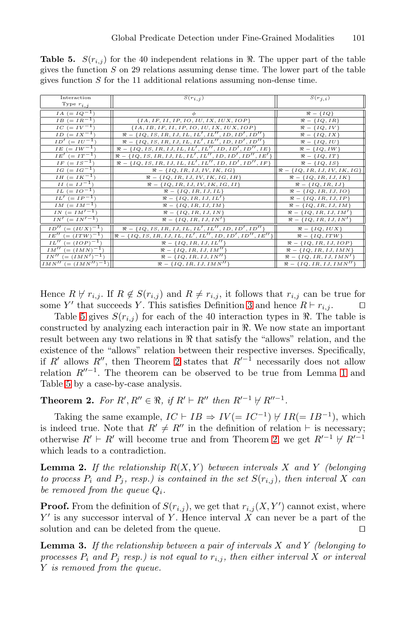<span id="page-10-0"></span>**Table 5.**  $S(r_{i,j})$  for the 40 independent relations in  $\Re$ . The upper part of the table gives the function  $S$  on 29 relations assuming dense time. The lower part of the table gives function  $S$  for the 11 additional relations assuming non-dense time.

| Interaction                            | $S(r_{i,j})$                                                                         | $S(r_{j,i})$                       |
|----------------------------------------|--------------------------------------------------------------------------------------|------------------------------------|
| Type $r_{i,j}$                         |                                                                                      |                                    |
| $IA (= IQ^{-1})$                       | φ                                                                                    | $\Re - \{IQ\}$                     |
| $IB (= IR^{-1})$                       | ${IA, IF, II, IP, IO, IU, IX, IUX, IOP}$                                             | $\Re = \{IQ, IR\}$                 |
| $IC (= IV^{-1})$                       | ${IA, IB, IF, II, IP, IO, IU, IX, IUX, IOP}$                                         | $\Re = \{IQ, IV\}$                 |
| $ID (= IX^{-1})$                       | $\Re = \{IQ, IS, IR, IJ, IL, IL', IL'', ID, ID', ID' \}$                             | $\Re = \{IQ, IX\}$                 |
| $ID' (= IU^{-1})$                      | $\Re = \{IQ, IS, IR, IJ, IL, IL', IL'', ID, ID', ID''\}$                             | $\Re - \{IQ, IU\}$                 |
| $IE (=IW^{-1})$                        | $\Re = \{IQ, IS, IR, IJ, IL, IL', IL'', ID, ID', ID'', ID\}$                         | $\Re - \{IQ, IW\}$                 |
| $IE' (= IT^{-1})$                      | $\Re = \{IQ, IS, IR, IJ, IL, IL', IL'', ID, ID', ID'', IE'\}$                        | $\Re = \{IQ, IT\}$                 |
| $IF (= IS^{-1})$                       | $\Re = \{IQ, IS, IR, IJ, IL, IL', IL'', ID, ID', ID'', IP\}$                         | $\Re = \{IQ, IS\}$                 |
| $IG (=IG^{-1})$                        | $\Re = \{IQ, IR, IJ, IV, IK, IG\}$                                                   | $\Re = \{IQ, IR, IJ, IV, IK, IG\}$ |
| $IH (= IK^{-1})$                       | $\Re = \{IQ, IR, IJ, IV, IK, IG, IH\}$                                               | $\Re = \{IQ, IR, IJ, IK\}$         |
| $II (=IJ^{-1})$                        | $\Re = \{IQ, IR, IJ, IV, IK, IG, II\}$                                               | $\Re = \{IQ, IR, IJ\}$             |
| $IL (= IO^{-1})$                       | $\Re = \{IQ, IR, IJ, IL\}$                                                           | $\Re = \{IQ, IR, IJ, IO\}$         |
| $IL' (= IP^{-1})$                      | $\Re - \{IQ, IR, IJ, IL'\}$                                                          | $\Re = \{IQ, IR, IJ, IP\}$         |
| $IM (= IM^{-1})$                       | $\Re = \{IQ, IR, IJ, IM\}$                                                           | $\Re = \{IQ, IR, IJ, IM\}$         |
| $IN (= IM'^{-1})$                      | $\Re = \{IQ, IR, IJ, IN\}$                                                           | $\Re = \{IQ, IR, IJ, IM'\}$        |
| $IN' (= IN'^{-1})$                     | $\Re = \{IQ, IR, IJ, IN'\}$                                                          | $\Re = \{IQ, IR, IJ, IN'\}$        |
| $ID'' (= (IUX)^{-1})$                  | $\Re - \{IQ, IS, IR, IJ, IL, IL', IL'', ID, ID', ID''\}$                             | $\Re - \{IQ, IUX\}$                |
| $IE'' = (ITW)^{-1})$                   | $\left[\Re-\left\{IQ, IS, IR, IJ, IL, IL', IL'', ID, ID', ID'', IE''\right\}\right]$ | $\Re = \{IQ, ITW\}$                |
| $IL'' (= (IOP)^{-1})$                  | $\Re = \{IQ, IR, IJ, IL''\}$                                                         | $\Re = \{IQ, IR, IJ, IOP\}$        |
| $IM'' (= (IMN)^{-1})$                  | $\Re = \{IQ, IR, IJ, IM''\}$                                                         | $\Re = \{IQ, IR, IJ, IMN\}$        |
| $IN'' (= (IMN')^{-1})$                 | $\Re = \{IQ, IR, IJ, IN''\}$                                                         | $\Re = \{IQ, IR, IJ, IMN'\}$       |
| $\overline{IMN''}$ (= $(IMN'')^{-1}$ ) | $\Re = \{IQ, IR, IJ, IMN''\}$                                                        | $\Re = \{IQ, IR, IJ, IMN''\}$      |

Hence  $R \nvdash r_{i,j}$ . If  $R \notin S(r_{i,j})$  and  $R \neq r_{i,j}$ , it follows that  $r_{i,j}$  can be true for some Y' that succeeds Y. This satisfies Definition [3](#page-9-0) and hence  $R \vdash r_{i,j}$ .

Table 5 gives  $S(r_{i,j})$  for each of the 40 interaction types in  $\Re$ . The table is constructed by analyzing each interaction pair in  $\Re$ . We now state an important result between any two relations in  $\Re$  that satisfy the "allows" relation, and the existence of the "allows" relation between their respective inverses. Specifically, if R' allows R'', then Theorem 2 states that  $R^{-1}$  necessarily does not allow relation  $R''^{-1}$ . The theorem can be observed to be true from Lemma [1](#page-9-0) and Table 5 by a case-by-case analysis.

**Theorem 2.** For  $R', R'' \in \mathbb{R}$ , if  $R' \vdash R''$  then  $R'^{-1} \not\vdash R''^{-1}$ .

Taking the same example,  $IC \vdash IB \Rightarrow IV (= IC^{-1}) \not\vdash IR (= IB^{-1})$ , which is indeed true. Note that  $R' \neq R''$  in the definition of relation  $\vdash$  is necessary; otherwise  $R' \vdash R'$  will become true and from Theorem 2, we get  $R'^{-1} \not\vdash R'^{-1}$ which leads to a contradiction.

**Lemma 2.** If the relationship  $R(X, Y)$  between intervals X and Y *(belonging*) *to process*  $P_i$  *and*  $P_j$ *, resp.) is contained in the set*  $S(r_{i,j})$ *, then interval* X *can be removed from the queue*  $Q_i$ .

**Proof.** From the definition of  $S(r_{i,j})$ , we get that  $r_{i,j}(X, Y')$  cannot exist, where  $Y'$  is any successor interval of Y. Hence interval X can never be a part of the solution and can be deleted from the queue.

**Lemma 3.** *If the relationship between a pair of intervals* X *and* Y *(belonging to processes*  $P_i$  *and*  $P_j$  *resp.) is not equal to*  $r_{i,j}$ *, then either interval* X *or interval* Y *is removed from the queue.*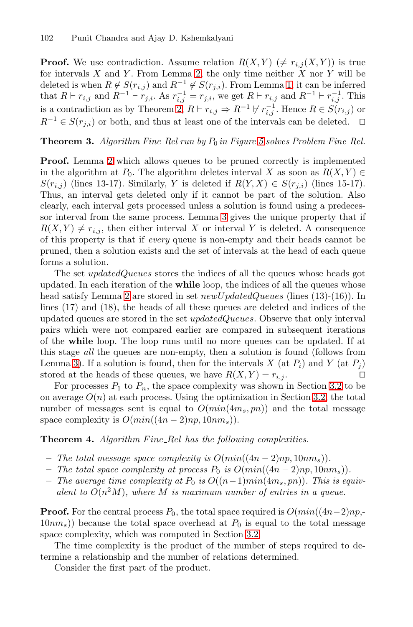<span id="page-11-0"></span>**Proof.** We use contradiction. Assume relation  $R(X, Y)$  ( $\neq r_{i,j}(X, Y)$ ) is true for intervals  $X$  and  $Y$ . From Lemma [2,](#page-10-0) the only time neither  $X$  nor  $Y$  will be deleted is when  $R \notin S(r_{i,j})$  and  $R^{-1} \notin S(r_{j,i})$ . From Lemma [1,](#page-9-0) it can be inferred that  $R \vdash r_{i,j}$  and  $R^{-1} \vdash r_{j,i}$ . As  $r_{i,j}^{-1} = r_{j,i}$ , we get  $R \vdash r_{i,j}$  and  $R^{-1} \vdash r_{i,j}^{-1}$ . This is a contradiction as by Theorem [2,](#page-10-0)  $R \vdash r_{i,j} \Rightarrow R^{-1} \not\vdash r_{i,j}^{-1}$ . Hence  $R \in S(r_{i,j})$  or  $R^{-1} \in S(r_{i,i})$  or both, and thus at least one of the intervals can be deleted.  $\square$ 

#### **Theorem 3.** *Algorithm Fine\_Rel run by*  $P_0$  *in Figure* [5](#page-12-0) *solves Problem Fine\_Rel.*

**Proof.** Lemma [2](#page-10-0) which allows queues to be pruned correctly is implemented in the algorithm at  $P_0$ . The algorithm deletes interval X as soon as  $R(X, Y) \in$  $S(r_{i,j})$  (lines 13-17). Similarly, Y is deleted if  $R(Y, X) \in S(r_{j,i})$  (lines 15-17). Thus, an interval gets deleted only if it cannot be part of the solution. Also clearly, each interval gets processed unless a solution is found using a predecessor interval from the same process. Lemma [3](#page-10-0) gives the unique property that if  $R(X, Y) \neq r_{i,j}$ , then either interval X or interval Y is deleted. A consequence of this property is that if *every* queue is non-empty and their heads cannot be pruned, then a solution exists and the set of intervals at the head of each queue forms a solution.

The set *updatedQueues* stores the indices of all the queues whose heads got updated. In each iteration of the **while** loop, the indices of all the queues whose head satisfy Lemma [2](#page-10-0) are stored in set  $newUpdateQueues$  (lines (13)-(16)). In lines (17) and (18), the heads of all these queues are deleted and indices of the updated queues are stored in the set updatedQueues. Observe that only interval pairs which were not compared earlier are compared in subsequent iterations of the **while** loop. The loop runs until no more queues can be updated. If at this stage *all* the queues are non-empty, then a solution is found (follows from Lemma [3\)](#page-10-0). If a solution is found, then for the intervals X (at  $P_i$ ) and Y (at  $P_j$ ) stored at the heads of these queues, we have  $R(X, Y) = r_{i,j}$ .

For processes  $P_1$  to  $P_n$ , the space complexity was shown in Section [3.2](#page-7-0) to be on average  $O(n)$  at each process. Using the optimization in Section [3.2,](#page-7-0) the total number of messages sent is equal to  $O(min(4m_s, pn))$  and the total message space complexity is  $O(min((4n-2)np, 10nm_s)).$ 

**Theorem 4.** *Algorithm Fine\_Rel has the following complexities.* 

- *− The total message space complexity is*  $O(min((4n-2)np, 10nm_s))$ *.*
- *− The total space complexity at process*  $P_0$  *is*  $O(min((4n-2)np, 10nm_s))$ *.*
- $-$  *The average time complexity at*  $P_0$  *is*  $O((n-1)min(4m_s, pn))$ *. This is equivalent to*  $O(n^2M)$ *, where* M *is maximum number of entries in a queue.*

**Proof.** For the central process  $P_0$ , the total space required is  $O(min((4n-2)np, (10nm<sub>s</sub>)$ ) because the total space overhead at  $P<sub>0</sub>$  is equal to the total message space complexity, which was computed in Section [3.2.](#page-7-0)

The time complexity is the product of the number of steps required to determine a relationship and the number of relations determined.

Consider the first part of the product.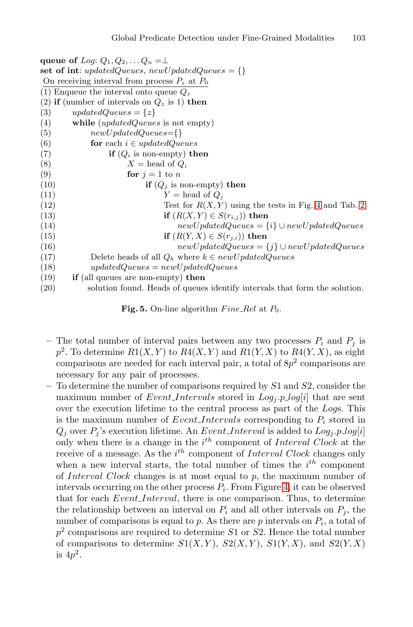<span id="page-12-0"></span>**queue of** Log:  $Q_1, Q_2, \ldots Q_n = \perp$ set of int:  $updatedQueues, newUpdateQueues = \{\}$ On receiving interval from process  $P_z$  at  $P_0$ (1) Enqueue the interval onto queue  $Q_z$ (2) **if** (number of intervals on  $Q_z$  is 1) **then** (3)  $updatedQueues = \{z\}$ (4) **while** (updatedQueues is not empty) (5)  $newUpdateQueues = \{\}$ (6) **for** each  $i \in updatedQueues$ (7) **if**  $(Q_i \text{ is non-empty})$  **then** (8)  $X = \text{head of } Q_i$ (9) **for**  $j = 1$  to n (10) **if**  $(Q_i$  is non-empty) **then** (11)  $Y = \text{head of } Q_i$ (12) Test for  $R(X, Y)$  using the tests in Fig. [4](#page-9-0) and Tab. [2](#page-2-0) (13) **if**  $(R(X, Y) \in S(r_{i,j}))$  **then** (14)  $newUpdateQueues = {i} \cup newUpdateQueues$ (15) **if**  $(R(Y, X) \in S(r_{j,i}))$  **then** (16)  $newUpdateQueue = \{j\} \cup newUpdateQueue$ (17) Delete heads of all  $Q_k$  where  $k \in newUpdateQueues$ (18)  $updatedQueues = newUpdateQueeus$ (19) **if** (all queues are non-empty) **then** (20) solution found. Heads of queues identify intervals that form the solution.

**Fig. 5.** On-line algorithm  $Fine\_Rel$  at  $P_0$ .

- The total number of interval pairs between any two processes  $P_i$  and  $P_j$  is  $p^2$ . To determine  $R1(X, Y)$  to  $R4(X, Y)$  and  $R1(Y, X)$  to  $R4(Y, X)$ , as eight comparisons are needed for each interval pair, a total of  $8p<sup>2</sup>$  comparisons are necessary for any pair of processes.
- **–** To determine the number of comparisons required by S1 and S2, consider the maximum number of *Event Intervals* stored in  $Log_i$  *p log[i]* that are sent over the execution lifetime to the central process as part of the Logs. This is the maximum number of Event\_Intervals corresponding to  $P_i$  stored in  $Q_j$  over  $P_j$ 's execution lifetime. An *Event Interval* is added to  $Log_j.p\_log[i]$ only when there is a change in the  $i<sup>th</sup>$  component of Interval Clock at the receive of a message. As the  $i^{th}$  component of Interval Clock changes only when a new interval starts, the total number of times the  $i^{th}$  component of Interval Clock changes is at most equal to  $p$ , the maximum number of intervals occurring on the other process  $P_i$ . From Figure [4,](#page-9-0) it can be observed that for each *Event Interval*, there is one comparison. Thus, to determine the relationship between an interval on  $P_i$  and all other intervals on  $P_j$ , the number of comparisons is equal to p. As there are p intervals on  $P_i$ , a total of  $p<sup>2</sup>$  comparisons are required to determine S1 or S2. Hence the total number of comparisons to determine  $S1(X, Y)$ ,  $S2(X, Y)$ ,  $S1(Y, X)$ , and  $S2(Y, X)$ is  $4p^2$ .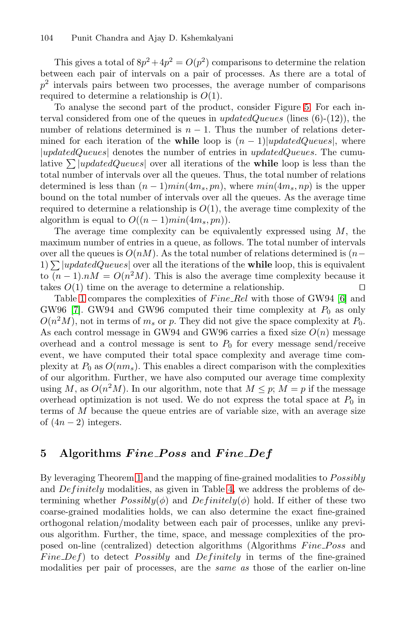<span id="page-13-0"></span>This gives a total of  $8p^2+4p^2=O(p^2)$  comparisons to determine the relation between each pair of intervals on a pair of processes. As there are a total of  $p<sup>2</sup>$  intervals pairs between two processes, the average number of comparisons required to determine a relationship is  $O(1)$ .

To analyse the second part of the product, consider Figure [5.](#page-12-0) For each interval considered from one of the queues in  $updatedQueues$  (lines  $(6)-(12)$ ), the number of relations determined is  $n-1$ . Thus the number of relations determined for each iteration of the **while** loop is  $(n - 1)|\text{updatedQueues}|$ , where |updatedQueues| denotes the number of entries in updatedQueues. The cumulative  $\sum |updateQueues|$  over all iterations of the **while** loop is less than the total number of intervals over all the queues. Thus, the total number of relations determined is less than  $(n-1)min(4m_s, pn)$ , where  $min(4m_s, np)$  is the upper bound on the total number of intervals over all the queues. As the average time required to determine a relationship is  $O(1)$ , the average time complexity of the algorithm is equal to  $O((n-1)min(4m_s, pn)).$ 

The average time complexity can be equivalently expressed using  $M$ , the maximum number of entries in a queue, as follows. The total number of intervals over all the queues is  $O(nM)$ . As the total number of relations determined is  $(n-$ 1)  $\sum |update dQueues|$  over all the iterations of the **while** loop, this is equivalent to  $(n-1)nM = O(n^2M)$ . This is also the average time complexity because it takes  $O(1)$  time on the average to determine a relationship.

Table [1](#page-1-0) compares the complexities of  $Fire\_Rel$  with those of GW94 [\[6\]](#page-17-0) and GW96 [\[7\]](#page-17-0). GW94 and GW96 computed their time complexity at  $P_0$  as only  $O(n^2M)$ , not in terms of  $m_s$  or p. They did not give the space complexity at  $P_0$ . As each control message in GW94 and GW96 carries a fixed size  $O(n)$  message overhead and a control message is sent to  $P_0$  for every message send/receive event, we have computed their total space complexity and average time complexity at  $P_0$  as  $O(nm_s)$ . This enables a direct comparison with the complexities of our algorithm. Further, we have also computed our average time complexity using M, as  $O(n^2M)$ . In our algorithm, note that  $M \leq p$ ;  $M = p$  if the message overhead optimization is not used. We do not express the total space at  $P_0$  in terms of M because the queue entries are of variable size, with an average size of  $(4n-2)$  integers.

# **5 Algorithms** *F ine P oss* **and** *F ine Def*

By leveraging Theorem [1](#page-4-0) and the mapping of fine-grained modalities to *Possibly* and  $Definitely$  modalities, as given in Table [4,](#page-4-0) we address the problems of determining whether  $Possibly(\phi)$  and  $Definitely(\phi)$  hold. If either of these two coarse-grained modalities holds, we can also determine the exact fine-grained orthogonal relation/modality between each pair of processes, unlike any previous algorithm. Further, the time, space, and message complexities of the proposed on-line (centralized) detection algorithms (Algorithms Fine Poss and Fine  $Def$ ) to detect Possibly and Definitely in terms of the fine-grained modalities per pair of processes, are the *same as* those of the earlier on-line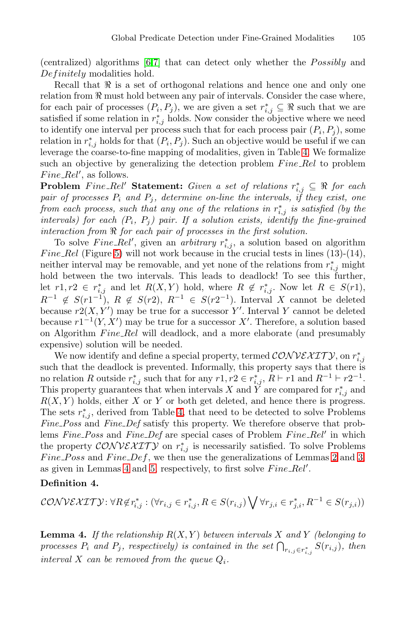<span id="page-14-0"></span>(centralized) algorithms  $[6,7]$  that can detect only whether the  $Possibly$  and Definitely modalities hold.

Recall that  $\Re$  is a set of orthogonal relations and hence one and only one relation from  $\Re$  must hold between any pair of intervals. Consider the case where, for each pair of processes  $(P_i, P_j)$ , we are given a set  $r_{i,j}^* \subseteq \Re$  such that we are satisfied if some relation in  $r_{i,j}^*$  holds. Now consider the objective where we need to identify one interval per process such that for each process pair  $(P_i, P_j)$ , some relation in  $r_{i,j}^*$  holds for that  $(P_i, P_j)$ . Such an objective would be useful if we can leverage the coarse-to-fine mapping of modalities, given in Table [4.](#page-4-0) We formalize such an objective by generalizing the detection problem  $Fire\_Rel$  to problem  $Fire\_Rel',$  as follows.

**Problem** Fine\_Rel' Statement: Given a set of relations  $r_{i,j}^*$  ⊆  $\Re$  for each *pair of processes*  $P_i$  *and*  $P_j$ *, determine on-line the intervals, if they exist, one from each process, such that any one of the relations in*  $r_{i,j}^*$  *is satisfied (by the intervals)* for each  $(P_i, P_j)$  pair. If a solution exists, identify the fine-grained *interaction from for each pair of processes in the first solution.*

To solve  $Fire\_Rel'$ , given an *arbitrary*  $r_{i,j}^*$ , a solution based on algorithm Fine\_Rel (Figure [5\)](#page-12-0) will not work because in the crucial tests in lines  $(13)-(14)$ , neither interval may be removable, and yet none of the relations from  $r_{i,j}^*$  might hold between the two intervals. This leads to deadlock! To see this further, let  $r1, r2 \in r_{i,j}^*$  and let  $R(X, Y)$  hold, where  $R \notin r_{i,j}^*$ . Now let  $R \in S(r1)$ ,  $R^{-1} \notin S(r1^{-1}), R \notin S(r2), R^{-1} \in S(r2^{-1}).$  Interval X cannot be deleted because  $r2(X, Y')$  may be true for a successor Y'. Interval Y cannot be deleted because  $r1^{-1}(Y, X')$  may be true for a successor X'. Therefore, a solution based on Algorithm Fine\_Rel will deadlock, and a more elaborate (and presumably expensive) solution will be needed.

We now identify and define a special property, termed  $\mathcal{CONV}\ell\mathcal{XITY}$ , on  $r^*_{i,j}$ such that the deadlock is prevented. Informally, this property says that there is no relation R outside  $r_{i,j}^*$  such that for any  $r1, r2 \in r_{i,j}^*$ ,  $R \vdash r1$  and  $R^{-1} \vdash r2^{-1}$ . This property guarantees that when intervals X and Y are compared for  $r_{i,j}^*$  and  $R(X, Y)$  holds, either X or Y or both get deleted, and hence there is progress. The sets  $r_{i,j}^*$ , derived from Table [4,](#page-4-0) that need to be detected to solve Problems *Fine Poss* and *Fine Def* satisfy this property. We therefore observe that problems *Fine\_Poss* and *Fine\_Def* are special cases of Problem *Fine\_Rel'* in which the property  $\mathcal{CONV}\ell\mathcal{XITY}$  on  $r_{i,j}^*$  is necessarily satisfied. To solve Problems Fine Poss and Fine Def, we then use the generalizations of Lemmas [2](#page-10-0) and [3,](#page-10-0) as given in Lemmas 4 and [5,](#page-15-0) respectively, to first solve  $Fire\_Rel'$ .

#### **Definition 4.**

$$
\mathcal{CONV}\&\mathcal{XITY}: \forall R \notin r_{i,j}^* : (\forall r_{i,j} \in r_{i,j}^*, R \in S(r_{i,j}) \bigvee \forall r_{j,i} \in r_{j,i}^*, R^{-1} \in S(r_{j,i}))
$$

**Lemma 4.** If the relationship  $R(X, Y)$  between intervals X and Y (belonging to *processes*  $P_i$  and  $P_j$ *, respectively) is contained in the set*  $\bigcap_{r_{i,j} \in r_{i,j}^*} S(r_{i,j})$ *, then interval* X *can be removed from the queue* Qi*.*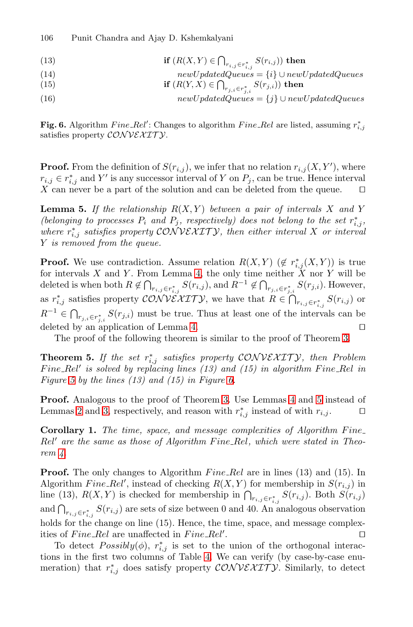<span id="page-15-0"></span>106 Punit Chandra and Ajay D. Kshemkalyani

- (13) **if**  $(R(X, Y) \in \bigcap_{r_{i,j} \in r_{i,j}^*} S(r_{i,j}))$  then
- (14)  $newUpdateQueue = \{i\} \cup newUpdateQueue$
- (15) **if**  $(R(Y, X) \in \bigcap_{r_j, i \in r_{j,i}^*} S(r_{j,i}))$  then
- (16)  $newUpdateQueues = \{j\} \cup newUpdateQueues$

**Fig. 6.** Algorithm  $Fire\_Rel'$ : Changes to algorithm  $Fire\_Rel$  are listed, assuming  $r_{i,j}^*$ satisfies property  $\mathcal{CONV}\ell\mathcal{X}\ell\mathcal{T}\mathcal{Y}.$ 

**Proof.** From the definition of  $S(r_{i,j})$ , we infer that no relation  $r_{i,j}(X, Y')$ , where  $r_{i,j} \in r_{i,j}^*$  and Y' is any successor interval of Y on  $P_j$ , can be true. Hence interval X can never be a part of the solution and can be deleted from the queue.  $\Box$ 

**Lemma 5.** If the relationship  $R(X, Y)$  between a pair of intervals X and Y *(belonging to processes*  $P_i$  *and*  $P_j$ *, respectively) does not belong to the set*  $r_{i,j}^*$ *,*  $where r_{i,j}^*$  *satisfies property* CONVEXITY, then either interval X or interval Y *is removed from the queue.*

**Proof.** We use contradiction. Assume relation  $R(X,Y)$   $(\notin r_{i,j}^*(X,Y))$  is true for intervals X and Y. From Lemma [4,](#page-14-0) the only time neither  $\tilde{X}$  nor Y will be deleted is when both  $R \notin \bigcap_{r_{i,j} \in r_{i,j}^*} S(r_{i,j})$ , and  $R^{-1} \notin \bigcap_{r_{j,i} \in r_{j,i}^*} S(r_{j,i})$ . However, as  $r_{i,j}^*$  satisfies property CONVEXITY, we have that  $R \in \bigcap_{r_{i,j} \in r_{i,j}^*} S(r_{i,j})$  or  $R^{-1} \in \bigcap_{r_{j,i} \in r_{j,i}^*} S(r_{j,i})$  must be true. Thus at least one of the intervals can be deleted by an application of Lemma [4.](#page-14-0)

The proof of the following theorem is similar to the proof of Theorem [3.](#page-11-0)

**Theorem 5.** *If the set* r<sup>∗</sup> i,j *satisfies property* CONVEX IT Y*, then Problem* Fine\_Rel<sup>t</sup> is solved by replacing lines (13) and (15) in algorithm Fine\_Rel in *Figure [5](#page-12-0) by the lines (13) and (15) in Figure 6.*

**Proof.** Analogous to the proof of Theorem [3.](#page-11-0) Use Lemmas [4](#page-14-0) and 5 instead of Lemmas [2](#page-10-0) and [3,](#page-10-0) respectively, and reason with  $r_{i,j}^*$  instead of with  $r_{i,j}$ .  $\Box$ 

**Corollary 1.** The time, space, and message complexities of Algorithm Fine Rel' are the same as those of Algorithm Fine\_Rel, which were stated in Theo*rem [4.](#page-11-0)*

**Proof.** The only changes to Algorithm  $Fine\_{Rel}$  are in lines (13) and (15). In Algorithm  $Fine\_Rel'$ , instead of checking  $R(X, Y)$  for membership in  $S(r_{i,j})$  in line (13),  $R(X,Y)$  is checked for membership in  $\bigcap_{r_{i,j}\in r_{i,j}^*} S(r_{i,j})$ . Both  $S(r_{i,j})$ and  $\bigcap_{r_{i,j}\in r_{i,j}^*} S(r_{i,j})$  are sets of size between 0 and 40. An analogous observation holds for the change on line (15). Hence, the time, space, and message complexities of  $Fire\_Rel$  are unaffected in  $Fire\_Rel'$ . В последните последните под последните и производството на селото на селото на селото на селото на селото на<br>Селото на селото на селото на селото на селото на селото на селото на селото на селото на селото на селото на

To detect  $Possibly(\phi)$ ,  $r_{i,j}^*$  is set to the union of the orthogonal interactions in the first two columns of Table [4.](#page-4-0) We can verify (by case-by-case enumeration) that  $r_{i,j}^*$  does satisfy property  $\mathcal{CONV}\ell\mathcal{XIT}\mathcal{Y}$ . Similarly, to detect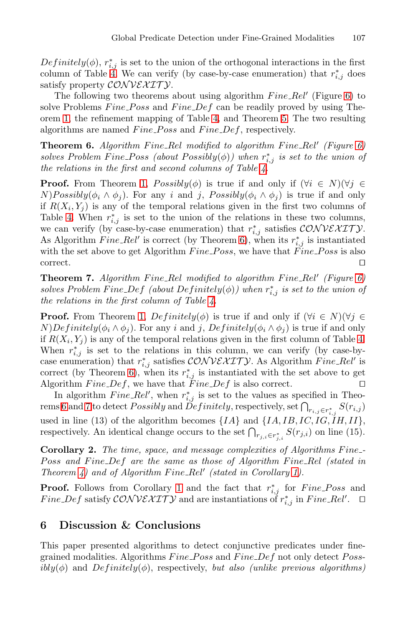<span id="page-16-0"></span> $Definitely(\phi), r_{i,j}^*$  is set to the union of the orthogonal interactions in the first column of Table [4.](#page-4-0) We can verify (by case-by-case enumeration) that  $r_{i,j}^*$  does satisfy property  $\mathcal{CONV}\ell\mathcal{X}\ell\mathcal{T}\mathcal{Y}.$ 

The following two theorems about using algorithm  $Fire\_Rel'$  (Figure [6\)](#page-15-0) to solve Problems  $Fine\_{Poss}$  and  $Fine\_{Def}$  can be readily proved by using Theorem [1,](#page-4-0) the refinement mapping of Table [4,](#page-4-0) and Theorem [5.](#page-15-0) The two resulting algorithms are named  $Fine\_{Poss}$  and  $Fine\_{Def}$ , respectively.

**Theorem 6.** Algorithm Fine\_Rel modified to algorithm Fine\_Rel' (Figure [6\)](#page-15-0)  $solves\ Problem\ Fine\ Poss\ (about\ Possibly(\phi))\ when\ r^*_{i,j}\ is\ set\ to\ the\ union\ of$ *the relations in the first and second columns of Table [4.](#page-4-0)*

**Proof.** From Theorem [1,](#page-4-0)  $Possibly(\phi)$  is true if and only if  $(\forall i \in N)(\forall j \in \mathbb{R})$  $N)Possibly(\phi_i \wedge \phi_j)$ . For any i and j,  $Possibly(\phi_i \wedge \phi_j)$  is true if and only if  $R(X_i, Y_j)$  is any of the temporal relations given in the first two columns of Table [4.](#page-4-0) When  $r_{i,j}^*$  is set to the union of the relations in these two columns, we can verify (by case-by-case enumeration) that  $r_{i,j}^*$  satisfies  $\mathcal{CONV}\ell\mathcal{XIT}\mathcal{Y}$ . As Algorithm  $Fire\_Rel'$  is correct (by Theorem [6\)](#page-15-0), when its  $r_{i,j}^*$  is instantiated with the set above to get Algorithm  $Fine\_{Poss}$ , we have that  $Fine\_{Poss}$  is also correct.

**Theorem 7.** Algorithm Fine\_Rel modified to algorithm Fine\_Rel' (Figure [6\)](#page-15-0)  $solves\ Problem\ Fine\ Def\ (about\ Definitely(\phi))\ when\ r_{i,j}^{\ast}\ is\ set\ to\ the\ union\ of$ *the relations in the first column of Table [4.](#page-4-0)*

**Proof.** From Theorem [1,](#page-4-0)  $Definitely(\phi)$  is true if and only if  $(\forall i \in N)(\forall j \in \mathbb{R})$  $N)Definitely(\phi_i \wedge \phi_j)$ . For any i and j,  $Definitely(\phi_i \wedge \phi_j)$  is true if and only if  $R(X_i, Y_i)$  is any of the temporal relations given in the first column of Table [4.](#page-4-0) When  $r_{i,j}^*$  is set to the relations in this column, we can verify (by case-bycase enumeration) that  $r_{i,j}^*$  satisfies  $\mathcal{CONV}\&\mathcal{XIT}\mathcal{Y}$ . As Algorithm  $Fine\_Rel'$  is correct (by Theorem [6\)](#page-15-0), when its  $r_{i,j}^*$  is instantiated with the set above to get Algorithm  $Fire\_Def$ , we have that  $Fire\_Def$  is also correct.  $\square$ 

In algorithm  $Fine\_Rel'$ , when  $r_{i,j}^*$  is set to the values as specified in Theo- $\tau_{r_{i,j}\in r_{i,j}^*} S(r_{i,j})$  and  $Definitely,$  respectively, set  $\bigcap_{r_{i,j}\in r_{i,j}^*} S(r_{i,j})$ used in line (13) of the algorithm becomes  $\{IA\}$  and  $\{IA, IB, IC, IG, IH, II\}$ , respectively. An identical change occurs to the set  $\bigcap_{r_{j,i}\in r_{j,i}^*} S(r_{j,i})$  on line (15).

**Corollary 2.** *The time, space, and message complexities of Algorithms Fine* Poss and Fine Def are the same as those of Algorithm Fine Rel *(stated in*) *Theorem [4\)](#page-11-0)* and of Algorithm Fine\_Rel' (stated in Corollary [1\)](#page-15-0).

**Proof.** Follows from Corollary [1](#page-15-0) and the fact that  $r_{i,j}^*$  for  $Fine\_{Poss}$  and Fine\_Def satisfy  $\mathcal{CONV}\&\mathcal{XITY}$  and are instantiations of  $r^*_{i,j}$  in Fine\_Rel'.  $\Box$ 

# **6 Discussion & Conclusions**

This paper presented algorithms to detect conjunctive predicates under finegrained modalities. Algorithms  $Fine\_{Poss}$  and  $Fine\_{Def}$  not only detect  $Poss$  $ibly(\phi)$  and  $Definitely(\phi)$ , respectively, *but also (unlike previous algorithms)*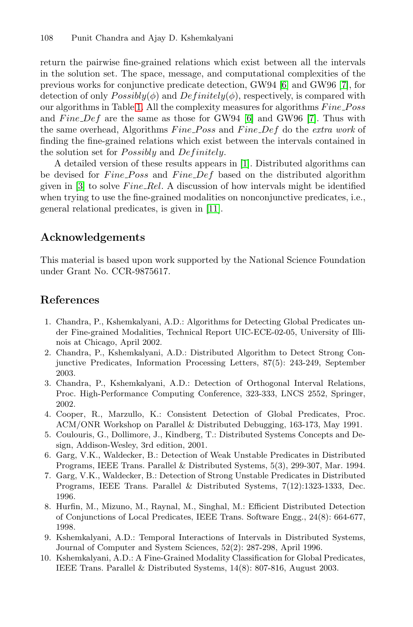<span id="page-17-0"></span>return the pairwise fine-grained relations which exist between all the intervals in the solution set. The space, message, and computational complexities of the previous works for conjunctive predicate detection, GW94 [6] and GW96 [7], for detection of only  $Possibly(\phi)$  and  $Definitely(\phi)$ , respectively, is compared with our algorithms in Table [1.](#page-1-0) All the complexity measures for algorithms  $Fine\_{Poss}$ and  $Func\_Def$  are the same as those for GW94 [6] and GW96 [7]. Thus with the same overhead, Algorithms Fine\_Poss and Fine\_Def do the *extra work* of finding the fine-grained relations which exist between the intervals contained in the solution set for *Possibly* and *Definitely*.

A detailed version of these results appears in [1]. Distributed algorithms can be devised for *Fine\_Poss* and *Fine\_Def* based on the distributed algorithm given in  $[3]$  to solve Fine Rel. A discussion of how intervals might be identified when trying to use the fine-grained modalities on nonconjunctive predicates, i.e., general relational predicates, is given in [\[11\]](#page-18-0).

### **Acknowledgements**

This material is based upon work supported by the National Science Foundation under Grant No. CCR-9875617.

# **References**

- 1. Chandra, P., Kshemkalyani, A.D.: Algorithms for Detecting Global Predicates under Fine-grained Modalities, Technical Report UIC-ECE-02-05, University of Illinois at Chicago, April 2002.
- 2. Chandra, P., Kshemkalyani, A.D.: Distributed Algorithm to Detect Strong Conjunctive Predicates, Information Processing Letters, 87(5): 243-249, September 2003.
- 3. Chandra, P., Kshemkalyani, A.D.: Detection of Orthogonal Interval Relations, Proc. High-Performance Computing Conference, 323-333, LNCS 2552, Springer, 2002.
- 4. Cooper, R., Marzullo, K.: Consistent Detection of Global Predicates, Proc. ACM/ONR Workshop on Parallel & Distributed Debugging, 163-173, May 1991.
- 5. Coulouris, G., Dollimore, J., Kindberg, T.: Distributed Systems Concepts and Design, Addison-Wesley, 3rd edition, 2001.
- 6. Garg, V.K., Waldecker, B.: Detection of Weak Unstable Predicates in Distributed Programs, IEEE Trans. Parallel & Distributed Systems, 5(3), 299-307, Mar. 1994.
- 7. Garg, V.K., Waldecker, B.: Detection of Strong Unstable Predicates in Distributed Programs, IEEE Trans. Parallel & Distributed Systems, 7(12):1323-1333, Dec. 1996.
- 8. Hurfin, M., Mizuno, M., Raynal, M., Singhal, M.: Efficient Distributed Detection of Conjunctions of Local Predicates, IEEE Trans. Software Engg., 24(8): 664-677, 1998.
- 9. Kshemkalyani, A.D.: Temporal Interactions of Intervals in Distributed Systems, Journal of Computer and System Sciences, 52(2): 287-298, April 1996.
- 10. Kshemkalyani, A.D.: A Fine-Grained Modality Classification for Global Predicates, IEEE Trans. Parallel & Distributed Systems, 14(8): 807-816, August 2003.